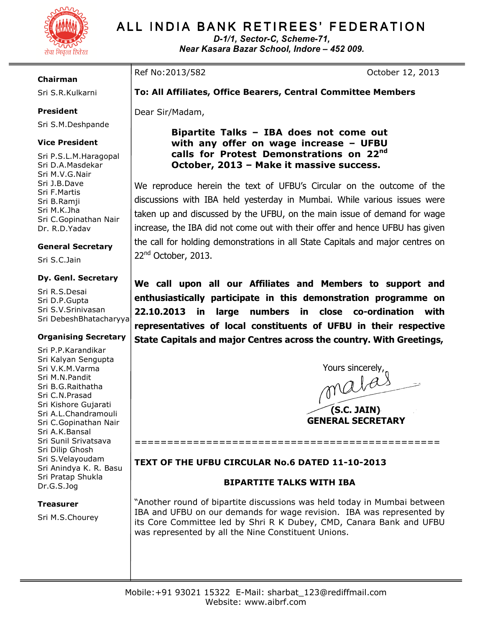

# ALL INDIA BANK RETIREES' FEDERATION

D-1/1, Sector-C, Scheme-71, Near Kasara Bazar School, Indore – 452 009.

#### Chairman

Sri S.R.Kulkarni

# President

Sri S.M.Deshpande

### Vice President

Sri P.S.L.M.Haragopal Sri D.A.Masdekar Sri M.V.G.Nair Sri J.B.Dave Sri F.Martis Sri B.Ramji Sri M.K.Jha Sri C.Gopinathan Nair Dr. R.D.Yadav

#### General Secretary

Sri S.C.Jain

#### Dy. Genl. Secretary

Sri R.S.Desai Sri D.P.Gupta Sri S.V.Srinivasan Sri DebeshBhatacharyya

#### Organising Secretary

Sri P.P.Karandikar Sri Kalyan Sengupta Sri V.K.M.Varma Sri M.N.Pandit Sri B.G.Raithatha Sri C.N.Prasad Sri Kishore Gujarati Sri A.L.Chandramouli Sri C.Gopinathan Nair Sri A.K.Bansal Sri Sunil Srivatsava Sri Dilip Ghosh Sri S.Velayoudam Sri Anindya K. R. Basu Sri Pratap Shukla Dr.G.S.Jog

#### **Treasurer**

Sri M.S.Chourey

# Ref No:2013/582 October 12, 2013

# To: All Affiliates, Office Bearers, Central Committee Members

Dear Sir/Madam,

Bipartite Talks – IBA does not come out with any offer on wage increase – UFBU calls for Protest Demonstrations on 22nd October, 2013 – Make it massive success.

We reproduce herein the text of UFBU's Circular on the outcome of the discussions with IBA held yesterday in Mumbai. While various issues were taken up and discussed by the UFBU, on the main issue of demand for wage increase, the IBA did not come out with their offer and hence UFBU has given the call for holding demonstrations in all State Capitals and major centres on 22<sup>nd</sup> October, 2013.

We call upon all our Affiliates and Members to support and enthusiastically participate in this demonstration programme on 22.10.2013 in large numbers in close co-ordination with representatives of local constituents of UFBU in their respective State Capitals and major Centres across the country. With Greetings,

Yours sincerely,<br>Malle (S.C. JAIN) GENERAL SECRETARY

# TEXT OF THE UFBU CIRCULAR No.6 DATED 11-10-2013

# BIPARTITE TALKS WITH IBA

===============================================

"Another round of bipartite discussions was held today in Mumbai between IBA and UFBU on our demands for wage revision. IBA was represented by its Core Committee led by Shri R K Dubey, CMD, Canara Bank and UFBU was represented by all the Nine Constituent Unions.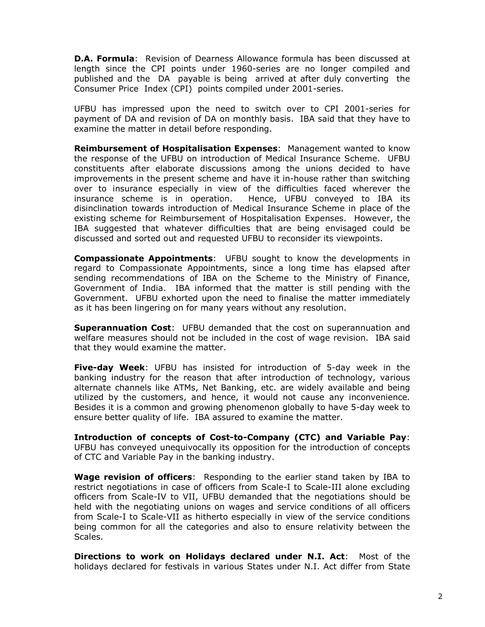**D.A. Formula:** Revision of Dearness Allowance formula has been discussed at length since the CPI points under 1960-series are no longer compiled and published and the DA payable is being arrived at after duly converting the Consumer Price Index (CPI) points compiled under 2001-series.

UFBU has impressed upon the need to switch over to CPI 2001-series for payment of DA and revision of DA on monthly basis. IBA said that they have to examine the matter in detail before responding.

**Reimbursement of Hospitalisation Expenses: Management wanted to know** the response of the UFBU on introduction of Medical Insurance Scheme. UFBU constituents after elaborate discussions among the unions decided to have improvements in the present scheme and have it in-house rather than switching over to insurance especially in view of the difficulties faced wherever the insurance scheme is in operation. Hence, UFBU conveyed to IBA its disinclination towards introduction of Medical Insurance Scheme in place of the existing scheme for Reimbursement of Hospitalisation Expenses. However, the IBA suggested that whatever difficulties that are being envisaged could be discussed and sorted out and requested UFBU to reconsider its viewpoints.

**Compassionate Appointments:** UFBU sought to know the developments in regard to Compassionate Appointments, since a long time has elapsed after sending recommendations of IBA on the Scheme to the Ministry of Finance, Government of India. IBA informed that the matter is still pending with the Government. UFBU exhorted upon the need to finalise the matter immediately as it has been lingering on for many years without any resolution.

**Superannuation Cost:** UFBU demanded that the cost on superannuation and welfare measures should not be included in the cost of wage revision. IBA said that they would examine the matter.

Five-day Week: UFBU has insisted for introduction of 5-day week in the banking industry for the reason that after introduction of technology, various alternate channels like ATMs, Net Banking, etc. are widely available and being utilized by the customers, and hence, it would not cause any inconvenience. Besides it is a common and growing phenomenon globally to have 5-day week to ensure better quality of life. IBA assured to examine the matter.

Introduction of concepts of Cost-to-Company (CTC) and Variable Pay: UFBU has conveyed unequivocally its opposition for the introduction of concepts of CTC and Variable Pay in the banking industry.

**Wage revision of officers:** Responding to the earlier stand taken by IBA to restrict negotiations in case of officers from Scale-I to Scale-III alone excluding officers from Scale-IV to VII, UFBU demanded that the negotiations should be held with the negotiating unions on wages and service conditions of all officers from Scale-I to Scale-VII as hitherto especially in view of the service conditions being common for all the categories and also to ensure relativity between the Scales.

Directions to work on Holidays declared under N.I. Act: Most of the holidays declared for festivals in various States under N.I. Act differ from State